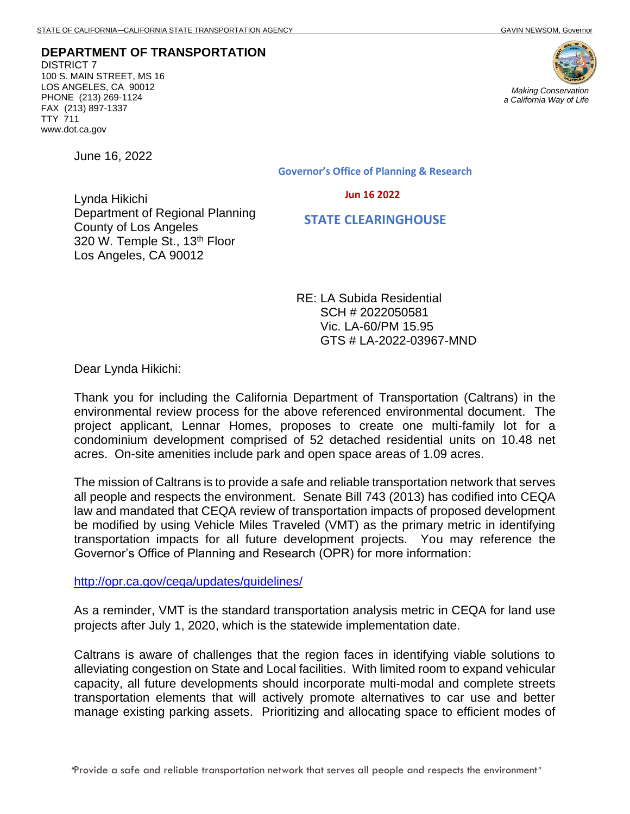**DEPARTMENT OF TRANSPORTATION** DISTRICT 7 100 S. MAIN STREET, MS 16 LOS ANGELES, CA 90012 PHONE (213) 269-1124 FAX (213) 897-1337 TTY 711 www.dot.ca.gov



June 16, 2022

Governor's Office of Planning & Research

Jun 16 2022

Lynda Hikichi Department of Regional Planning County of Los Angeles 320 W. Temple St., 13<sup>th</sup> Floor Los Angeles, CA 90012

STATE CLEARINGHOUSE

RE: LA Subida Residential SCH # 2022050581 Vic. LA-60/PM 15.95 GTS # LA-2022-03967-MND

Dear Lynda Hikichi:

Thank you for including the California Department of Transportation (Caltrans) in the environmental review process for the above referenced environmental document. The project applicant, Lennar Homes, proposes to create one multi-family lot for a condominium development comprised of 52 detached residential units on 10.48 net acres. On-site amenities include park and open space areas of 1.09 acres.

The mission of Caltrans is to provide a safe and reliable transportation network that serves all people and respects the environment. Senate Bill 743 (2013) has codified into CEQA law and mandated that CEQA review of transportation impacts of proposed development be modified by using Vehicle Miles Traveled (VMT) as the primary metric in identifying transportation impacts for all future development projects. You may reference the Governor's Office of Planning and Research (OPR) for more information:

<http://opr.ca.gov/ceqa/updates/guidelines/>

As a reminder, VMT is the standard transportation analysis metric in CEQA for land use projects after July 1, 2020, which is the statewide implementation date.

Caltrans is aware of challenges that the region faces in identifying viable solutions to alleviating congestion on State and Local facilities. With limited room to expand vehicular capacity, all future developments should incorporate multi-modal and complete streets transportation elements that will actively promote alternatives to car use and better manage existing parking assets. Prioritizing and allocating space to efficient modes of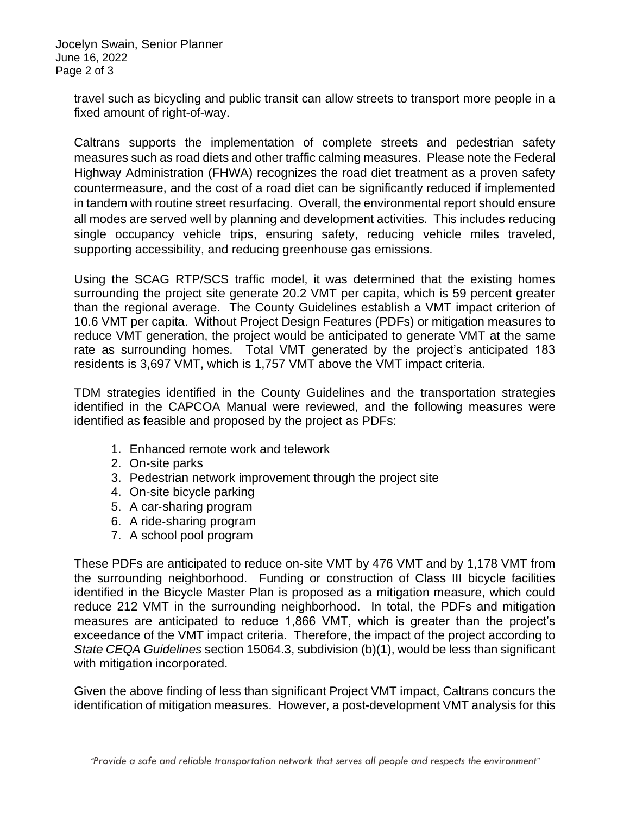Jocelyn Swain, Senior Planner June 16, 2022 Page 2 of 3

> travel such as bicycling and public transit can allow streets to transport more people in a fixed amount of right-of-way.

> Caltrans supports the implementation of complete streets and pedestrian safety measures such as road diets and other traffic calming measures. Please note the Federal Highway Administration (FHWA) recognizes the road diet treatment as a proven safety countermeasure, and the cost of a road diet can be significantly reduced if implemented in tandem with routine street resurfacing. Overall, the environmental report should ensure all modes are served well by planning and development activities. This includes reducing single occupancy vehicle trips, ensuring safety, reducing vehicle miles traveled, supporting accessibility, and reducing greenhouse gas emissions.

> Using the SCAG RTP/SCS traffic model, it was determined that the existing homes surrounding the project site generate 20.2 VMT per capita, which is 59 percent greater than the regional average. The County Guidelines establish a VMT impact criterion of 10.6 VMT per capita. Without Project Design Features (PDFs) or mitigation measures to reduce VMT generation, the project would be anticipated to generate VMT at the same rate as surrounding homes. Total VMT generated by the project's anticipated 183 residents is 3,697 VMT, which is 1,757 VMT above the VMT impact criteria.

> TDM strategies identified in the County Guidelines and the transportation strategies identified in the CAPCOA Manual were reviewed, and the following measures were identified as feasible and proposed by the project as PDFs:

- 1. Enhanced remote work and telework
- 2. On‐site parks
- 3. Pedestrian network improvement through the project site
- 4. On‐site bicycle parking
- 5. A car‐sharing program
- 6. A ride‐sharing program
- 7. A school pool program

These PDFs are anticipated to reduce on‐site VMT by 476 VMT and by 1,178 VMT from the surrounding neighborhood. Funding or construction of Class III bicycle facilities identified in the Bicycle Master Plan is proposed as a mitigation measure, which could reduce 212 VMT in the surrounding neighborhood. In total, the PDFs and mitigation measures are anticipated to reduce 1,866 VMT, which is greater than the project's exceedance of the VMT impact criteria. Therefore, the impact of the project according to *State CEQA Guidelines* section 15064.3, subdivision (b)(1), would be less than significant with mitigation incorporated.

Given the above finding of less than significant Project VMT impact, Caltrans concurs the identification of mitigation measures. However, a post-development VMT analysis for this